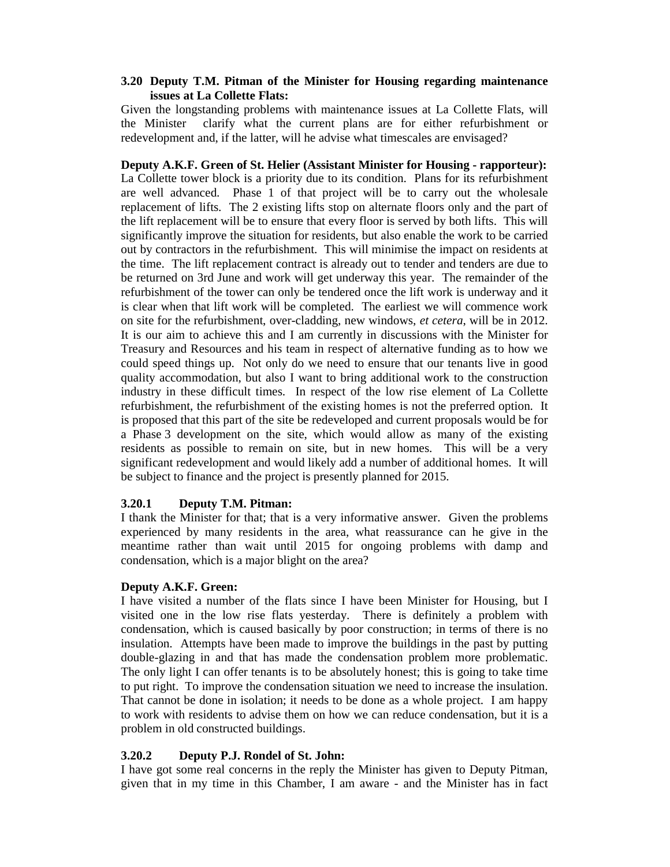## **3.20 Deputy T.M. Pitman of the Minister for Housing regarding maintenance issues at La Collette Flats:**

Given the longstanding problems with maintenance issues at La Collette Flats, will the Minister clarify what the current plans are for either refurbishment or redevelopment and, if the latter, will he advise what timescales are envisaged?

**Deputy A.K.F. Green of St. Helier (Assistant Minister for Housing - rapporteur):**  La Collette tower block is a priority due to its condition. Plans for its refurbishment are well advanced. Phase 1 of that project will be to carry out the wholesale replacement of lifts. The 2 existing lifts stop on alternate floors only and the part of the lift replacement will be to ensure that every floor is served by both lifts. This will significantly improve the situation for residents, but also enable the work to be carried out by contractors in the refurbishment. This will minimise the impact on residents at the time. The lift replacement contract is already out to tender and tenders are due to be returned on 3rd June and work will get underway this year. The remainder of the refurbishment of the tower can only be tendered once the lift work is underway and it is clear when that lift work will be completed. The earliest we will commence work on site for the refurbishment, over-cladding, new windows, *et cetera*, will be in 2012. It is our aim to achieve this and I am currently in discussions with the Minister for Treasury and Resources and his team in respect of alternative funding as to how we could speed things up. Not only do we need to ensure that our tenants live in good quality accommodation, but also I want to bring additional work to the construction industry in these difficult times. In respect of the low rise element of La Collette refurbishment, the refurbishment of the existing homes is not the preferred option. It is proposed that this part of the site be redeveloped and current proposals would be for a Phase 3 development on the site, which would allow as many of the existing residents as possible to remain on site, but in new homes. This will be a very significant redevelopment and would likely add a number of additional homes. It will be subject to finance and the project is presently planned for 2015.

# **3.20.1 Deputy T.M. Pitman:**

I thank the Minister for that; that is a very informative answer. Given the problems experienced by many residents in the area, what reassurance can he give in the meantime rather than wait until 2015 for ongoing problems with damp and condensation, which is a major blight on the area?

## **Deputy A.K.F. Green:**

I have visited a number of the flats since I have been Minister for Housing, but I visited one in the low rise flats yesterday. There is definitely a problem with condensation, which is caused basically by poor construction; in terms of there is no insulation. Attempts have been made to improve the buildings in the past by putting double-glazing in and that has made the condensation problem more problematic. The only light I can offer tenants is to be absolutely honest; this is going to take time to put right. To improve the condensation situation we need to increase the insulation. That cannot be done in isolation; it needs to be done as a whole project. I am happy to work with residents to advise them on how we can reduce condensation, but it is a problem in old constructed buildings.

## **3.20.2 Deputy P.J. Rondel of St. John:**

I have got some real concerns in the reply the Minister has given to Deputy Pitman, given that in my time in this Chamber, I am aware - and the Minister has in fact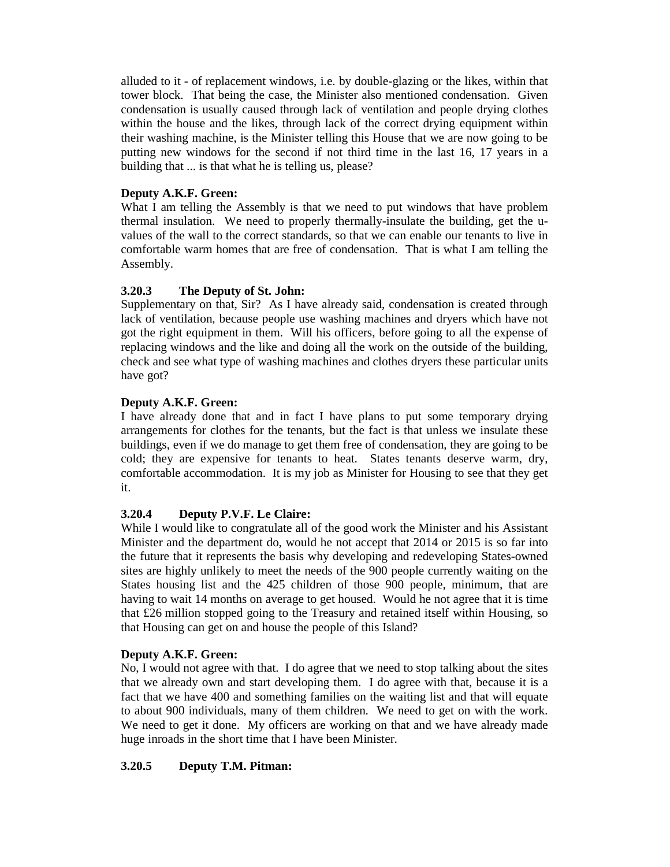alluded to it - of replacement windows, i.e. by double-glazing or the likes, within that tower block. That being the case, the Minister also mentioned condensation. Given condensation is usually caused through lack of ventilation and people drying clothes within the house and the likes, through lack of the correct drying equipment within their washing machine, is the Minister telling this House that we are now going to be putting new windows for the second if not third time in the last 16, 17 years in a building that ... is that what he is telling us, please?

# **Deputy A.K.F. Green:**

What I am telling the Assembly is that we need to put windows that have problem thermal insulation. We need to properly thermally-insulate the building, get the uvalues of the wall to the correct standards, so that we can enable our tenants to live in comfortable warm homes that are free of condensation. That is what I am telling the Assembly.

# **3.20.3 The Deputy of St. John:**

Supplementary on that, Sir? As I have already said, condensation is created through lack of ventilation, because people use washing machines and dryers which have not got the right equipment in them. Will his officers, before going to all the expense of replacing windows and the like and doing all the work on the outside of the building, check and see what type of washing machines and clothes dryers these particular units have got?

# **Deputy A.K.F. Green:**

I have already done that and in fact I have plans to put some temporary drying arrangements for clothes for the tenants, but the fact is that unless we insulate these buildings, even if we do manage to get them free of condensation, they are going to be cold; they are expensive for tenants to heat. States tenants deserve warm, dry, comfortable accommodation. It is my job as Minister for Housing to see that they get it.

# **3.20.4 Deputy P.V.F. Le Claire:**

While I would like to congratulate all of the good work the Minister and his Assistant Minister and the department do, would he not accept that 2014 or 2015 is so far into the future that it represents the basis why developing and redeveloping States-owned sites are highly unlikely to meet the needs of the 900 people currently waiting on the States housing list and the 425 children of those 900 people, minimum, that are having to wait 14 months on average to get housed. Would he not agree that it is time that £26 million stopped going to the Treasury and retained itself within Housing, so that Housing can get on and house the people of this Island?

## **Deputy A.K.F. Green:**

No, I would not agree with that. I do agree that we need to stop talking about the sites that we already own and start developing them. I do agree with that, because it is a fact that we have 400 and something families on the waiting list and that will equate to about 900 individuals, many of them children. We need to get on with the work. We need to get it done. My officers are working on that and we have already made huge inroads in the short time that I have been Minister.

# **3.20.5 Deputy T.M. Pitman:**